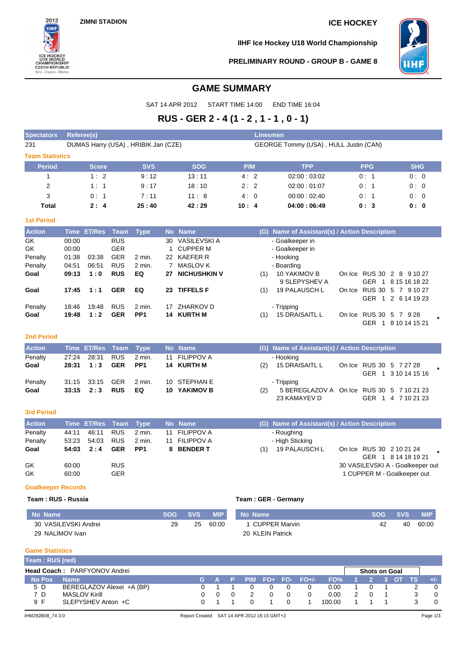**ZIMNI STADION ICE HOCKEY**



**IIHF Ice Hockey U18 World Championship**



**PRELIMINARY ROUND - GROUP B - GAME 8**

# **GAME SUMMARY**

SAT 14 APR 2012 START TIME 14:00 END TIME 16:04

# **RUS - GER 2 - 4 (1 - 2 , 1 - 1 , 0 - 1)**

| <b>Spectators</b>      | Referee(s)                          |                    |                          |                           |    |                                     |                                       | <b>Linesmen</b> |                                               |  |                                                  |  |            |  |  |  |
|------------------------|-------------------------------------|--------------------|--------------------------|---------------------------|----|-------------------------------------|---------------------------------------|-----------------|-----------------------------------------------|--|--------------------------------------------------|--|------------|--|--|--|
| 231                    | DUMAS Harry (USA), HRIBIK Jan (CZE) |                    |                          |                           |    |                                     | GEORGE Tommy (USA), HULL Justin (CAN) |                 |                                               |  |                                                  |  |            |  |  |  |
| <b>Team Statistics</b> |                                     |                    |                          |                           |    |                                     |                                       |                 |                                               |  |                                                  |  |            |  |  |  |
| Period                 |                                     | <b>Score</b>       |                          | <b>SVS</b>                |    | <b>SOG</b>                          | <b>PIM</b>                            |                 | <b>TPP</b>                                    |  | <b>PPG</b>                                       |  | <b>SHG</b> |  |  |  |
| 1                      |                                     | 1:2                |                          | 9:12                      |    | 13:11                               | 4:2                                   |                 | 02:00:03:02                                   |  | 0:1                                              |  | 0:0        |  |  |  |
| $\overline{2}$         |                                     | 1:1                |                          | 9:17                      |    | 18:10                               | 2:2                                   |                 | 02:00:01:07                                   |  | 0: 1                                             |  | 0:0        |  |  |  |
| 3                      |                                     | 0:1                |                          | 7:11                      |    | 11:8                                | 4:0                                   |                 | 00:00:02:40                                   |  | 0: 1                                             |  | 0:0        |  |  |  |
| Total                  |                                     | 2:4                |                          | 25:40                     |    | 42:29                               | 10:4                                  |                 | 04:00:06:49                                   |  | 0:3                                              |  | 0:0        |  |  |  |
| <b>1st Period</b>      |                                     |                    |                          |                           |    |                                     |                                       |                 |                                               |  |                                                  |  |            |  |  |  |
| <b>Action</b>          |                                     | <b>Time ET/Res</b> | Team                     | <b>Type</b>               |    | No Name                             |                                       |                 | (G) Name of Assistant(s) / Action Description |  |                                                  |  |            |  |  |  |
| GK                     | 00:00                               |                    | <b>RUS</b>               |                           |    | 30 VASILEVSKI A                     |                                       |                 | - Goalkeeper in                               |  |                                                  |  |            |  |  |  |
| <b>GK</b>              | 00:00                               |                    | <b>GER</b>               |                           | 1  | <b>CUPPER M</b>                     |                                       |                 | - Goalkeeper in                               |  |                                                  |  |            |  |  |  |
| Penalty                | 01:38                               | 03:38              | <b>GER</b>               | 2 min.                    |    | 22 KAEFER R                         |                                       |                 | - Hooking                                     |  |                                                  |  |            |  |  |  |
| Penalty                | 04:51                               | 06:51              | <b>RUS</b>               | $2$ min.                  |    | 7 MASLOV K                          |                                       |                 | - Boarding                                    |  |                                                  |  |            |  |  |  |
| Goal                   | 09:13                               | 1:0                | <b>RUS</b>               | EQ                        | 27 | <b>NICHUSHKIN V</b>                 |                                       | (1)             | 10 YAKIMOV B                                  |  | On Ice RUS 30 2 8 9 10 27                        |  |            |  |  |  |
|                        |                                     |                    |                          |                           |    |                                     |                                       |                 | 9 SLEPYSHEV A                                 |  | GER 1 8 15 16 18 22                              |  |            |  |  |  |
| Goal                   | 17:45                               | 1:1                | <b>GER</b>               | EQ                        |    | 23 TIFFELS F                        |                                       | (1)             | 19 PALAUSCH L                                 |  | On Ice RUS 30 5 7 9 10 27                        |  |            |  |  |  |
|                        |                                     |                    |                          |                           |    |                                     |                                       |                 |                                               |  | GER 1 2 6 14 19 23                               |  |            |  |  |  |
| Penalty<br>Goal        | 18:46<br>19:48                      | 19:48<br>1:2       | <b>RUS</b><br><b>GER</b> | 2 min.<br>PP <sub>1</sub> |    | 17 ZHARKOV D<br>14 KURTH M          |                                       | (1)             | - Tripping<br>15 DRAISAITL L                  |  | On Ice RUS 30 5 7 9 28                           |  |            |  |  |  |
|                        |                                     |                    |                          |                           |    |                                     |                                       |                 |                                               |  | GER 1 8 10 14 15 21                              |  |            |  |  |  |
|                        |                                     |                    |                          |                           |    |                                     |                                       |                 |                                               |  |                                                  |  |            |  |  |  |
| <b>2nd Period</b>      |                                     |                    |                          |                           |    |                                     |                                       |                 |                                               |  |                                                  |  |            |  |  |  |
| <b>Action</b>          |                                     | <b>Time ET/Res</b> | <b>Team</b>              | <b>Type</b>               |    | No Name                             |                                       |                 | (G) Name of Assistant(s) / Action Description |  |                                                  |  |            |  |  |  |
| Penalty                | 27:24                               | 28:31              | <b>RUS</b>               | 2 min.                    | 11 | <b>FILIPPOV A</b>                   |                                       |                 | - Hooking                                     |  |                                                  |  |            |  |  |  |
| Goal                   | 28:31                               | 1:3                | <b>GER</b>               | PP <sub>1</sub>           |    | 14 KURTH M                          |                                       | (2)             | 15 DRAISAITL L                                |  | On Ice RUS 30 5 7 27 28                          |  |            |  |  |  |
|                        |                                     |                    |                          |                           |    |                                     |                                       |                 |                                               |  | GER 1 3 10 14 15 16                              |  |            |  |  |  |
| Penalty                | 31:15<br>33:15                      | 33:15<br>2:3       | <b>GER</b><br><b>RUS</b> | 2 min.<br>EQ              |    | 10 STEPHAN E<br><b>10 YAKIMOV B</b> |                                       |                 | - Tripping                                    |  |                                                  |  |            |  |  |  |
| Goal                   |                                     |                    |                          |                           |    |                                     |                                       | (2)             | 5 BEREGLAZOV A<br>23 KAMAYEV D                |  | On Ice RUS 30 5 7 10 21 23<br>GER 1 4 7 10 21 23 |  |            |  |  |  |
|                        |                                     |                    |                          |                           |    |                                     |                                       |                 |                                               |  |                                                  |  |            |  |  |  |
| <b>3rd Period</b>      |                                     |                    |                          |                           |    |                                     |                                       |                 |                                               |  |                                                  |  |            |  |  |  |
| <b>Action</b>          |                                     | <b>Time ET/Res</b> | <b>Team</b>              | <b>Type</b>               |    | No Name                             |                                       |                 | (G) Name of Assistant(s) / Action Description |  |                                                  |  |            |  |  |  |
| Penalty                | 44:11                               | 46:11              | <b>RUS</b>               | 2 min.                    | 11 | <b>FILIPPOV A</b>                   |                                       |                 | - Roughing                                    |  |                                                  |  |            |  |  |  |
| Penalty                | 53:23                               | 54:03              | <b>RUS</b>               | 2 min.                    | 11 | <b>FILIPPOV A</b>                   |                                       |                 | - High Sticking                               |  |                                                  |  |            |  |  |  |
| Goal                   | 54:03                               | 2:4                | <b>GER</b>               | PP <sub>1</sub>           |    | 8 BENDER T                          |                                       | (1)             | 19 PALAUSCH L                                 |  | On Ice RUS 30 2 10 21 24                         |  |            |  |  |  |
|                        |                                     |                    |                          |                           |    |                                     |                                       |                 |                                               |  | GER 1 8 14 18 19 21                              |  |            |  |  |  |
| GK                     | 60:00                               |                    | <b>RUS</b>               |                           |    |                                     |                                       |                 |                                               |  | 30 VASILEVSKI A - Goalkeeper out                 |  |            |  |  |  |
| GK                     | 60:00                               |                    | <b>GER</b>               |                           |    |                                     |                                       |                 |                                               |  | 1 CUPPER M - Goalkeeper out                      |  |            |  |  |  |

## **Goalkeeper Records**

### **Team : RUS - Russia Team : GER - Germany**

| No Name              | SOG. | <b>SVS</b> | MIP'  | No Name              | SOG. | <b>SVS</b> | MIP.  |
|----------------------|------|------------|-------|----------------------|------|------------|-------|
| 30 VASILEVSKI Andrei | 29   | 25         | 60:00 | <b>CUPPER Marvin</b> | 42   | 40         | 60:00 |
| 29 NALIMOV Ivan      |      |            |       | 20 KLEIN Patrick     |      |            |       |

### **Game Statistics**

| Team: RUS (red)              |                           |  |         |  |  |  |  |                   |        |  |                      |  |  |  |               |
|------------------------------|---------------------------|--|---------|--|--|--|--|-------------------|--------|--|----------------------|--|--|--|---------------|
| Head Coach: PARFYONOV Andrei |                           |  |         |  |  |  |  |                   |        |  | <b>Shots on Goal</b> |  |  |  |               |
| No Pos                       | <b>Name</b>               |  | LG A P' |  |  |  |  | PIM FO+ FO- FO+/- | FO%    |  |                      |  |  |  | $\frac{1}{2}$ |
| 5 D                          | BEREGLAZOV Alexei +A (BP) |  |         |  |  |  |  |                   | 0.00   |  |                      |  |  |  |               |
| 7 D                          | <b>MASLOV Kirill</b>      |  |         |  |  |  |  |                   | 0.00   |  |                      |  |  |  |               |
| 9 F                          | SLEPYSHEV Anton +C        |  |         |  |  |  |  |                   | 100.00 |  |                      |  |  |  |               |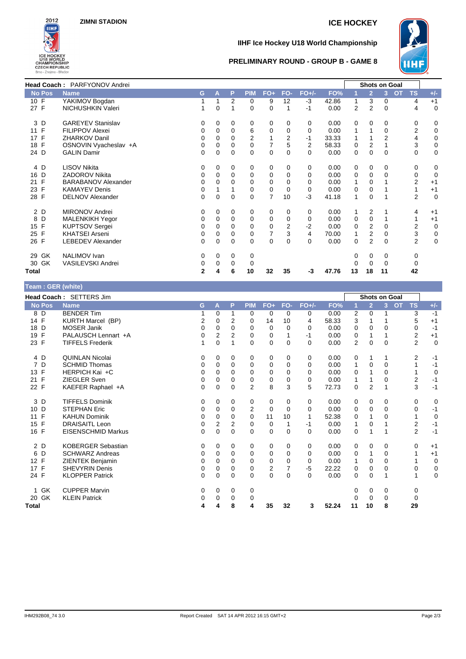

# **IIHF Ice Hockey U18 World Championship**



### **PRELIMINARY ROUND - GROUP B - GAME 8**

| Head Coach: PARFYONOV Andrei |                            |    |   |          |                |                |          |         |       | <b>Shots on Goal</b> |                         |          |                        |                |
|------------------------------|----------------------------|----|---|----------|----------------|----------------|----------|---------|-------|----------------------|-------------------------|----------|------------------------|----------------|
| <b>No Pos</b>                | <b>Name</b>                | G. | A | P        | <b>PIM</b>     | $FO+$          | FO-      | $FO+/-$ | FO%   |                      | $\overline{2}$          | 3        | <b>TS</b><br><b>OT</b> | $+/-$          |
| 10 F                         | YAKIMOV Bogdan             |    |   | 2        | 0              | 9              | 12       | $-3$    | 42.86 |                      | 3                       | 0        | 4                      | $+1$           |
| 27 F                         | NICHUSHKIN Valeri          |    | 0 |          | 0              | 0              |          | $-1$    | 0.00  | $\overline{2}$       | $\overline{2}$          | 0        | 4                      | $\mathbf 0$    |
| 3 D                          | <b>GAREYEV Stanislav</b>   | 0  | 0 | 0        | 0              | 0              | $\Omega$ | 0       | 0.00  | 0                    | 0                       | 0        | 0                      | 0              |
| 11 F                         | <b>FILIPPOV Alexei</b>     | 0  | 0 | 0        | 6              | 0              | $\Omega$ | 0       | 0.00  |                      |                         | 0        | $\overline{2}$         | $\mathbf 0$    |
| 17 F                         | <b>ZHARKOV Danil</b>       | 0  | 0 | 0        | $\overline{2}$ |                | 2        | $-1$    | 33.33 |                      |                         | 2        | 4                      | 0              |
| 18 F                         | OSNOVIN Vyacheslav +A      | 0  | 0 | 0        | 0              | $\overline{7}$ | 5        | 2       | 58.33 | 0                    | 2                       |          | 3                      | $\mathbf 0$    |
| 24 D                         | <b>GALIN Damir</b>         | 0  | 0 | 0        | 0              | 0              | $\Omega$ | 0       | 0.00  | 0                    | 0                       | $\Omega$ | 0                      | 0              |
| 4 D                          | <b>LISOV Nikita</b>        | 0  | 0 | 0        | 0              | 0              | $\Omega$ | 0       | 0.00  | 0                    | 0                       | 0        | 0                      | 0              |
| D<br>16                      | <b>ZADOROV Nikita</b>      | 0  | 0 | 0        | 0              | 0              | $\Omega$ | 0       | 0.00  | 0                    | 0                       | 0        | $\mathbf 0$            | $\overline{0}$ |
| F<br>21                      | <b>BARABANOV Alexander</b> | 0  | 0 | 0        | 0              | 0              | $\Omega$ | 0       | 0.00  |                      | 0                       |          | 2                      | $+1$           |
| 23 F                         | <b>KAMAYEV Denis</b>       | 0  |   |          | 0              | 0              | $\Omega$ | 0       | 0.00  | 0                    | 0                       |          |                        | $+1$           |
| 28 F                         | <b>DELNOV Alexander</b>    | 0  | 0 | $\Omega$ | $\Omega$       | $\overline{7}$ | 10       | $-3$    | 41.18 | 1                    | 0                       |          | $\overline{2}$         | $\overline{0}$ |
| 2 D                          | <b>MIRONOV Andrei</b>      | 0  | 0 | 0        | 0              | 0              | 0        | 0       | 0.00  |                      | 2                       |          | 4                      | $+1$           |
| D<br>8                       | <b>MALENKIKH Yegor</b>     | 0  | 0 | 0        | 0              | 0              | $\Omega$ | 0       | 0.00  | 0                    | 0                       |          |                        | $+1$           |
| 15 F                         | <b>KUPTSOV Sergei</b>      | 0  | 0 | 0        | 0              | 0              | 2        | $-2$    | 0.00  | 0                    | 2                       | 0        | 2                      | $\mathbf 0$    |
| 25 F                         | <b>KHATSEI Arseni</b>      | 0  | 0 | 0        | 0              |                | 3        | 4       | 70.00 |                      | $\overline{\mathbf{c}}$ | 0        | 3                      | $\mathbf 0$    |
| 26 F                         | <b>LEBEDEV Alexander</b>   | 0  | 0 | 0        | 0              | 0              | $\Omega$ | 0       | 0.00  | 0                    | $\overline{2}$          | $\Omega$ | $\overline{2}$         | $\mathbf 0$    |
| GK<br>29                     | NALIMOV Ivan               | 0  | 0 | 0        | 0              |                |          |         |       | 0                    | 0                       | 0        | 0                      |                |
| 30 GK                        | VASILEVSKI Andrei          | 0  | 0 | 0        | 0              |                |          |         |       | U                    | 0                       | 0        | 0                      |                |
| Total                        |                            | 2  | 4 | 6        | 10             | 32             | 35       | -3      | 47.76 | 13                   | 18                      | 11       | 42                     |                |

| Team: GER (white) |  |  |
|-------------------|--|--|
|-------------------|--|--|

| Head Coach: SETTERS Jim |                           |              |   |             |                |                         |          |          |       | <b>Shots on Goal</b> |                |                           |                  |             |
|-------------------------|---------------------------|--------------|---|-------------|----------------|-------------------------|----------|----------|-------|----------------------|----------------|---------------------------|------------------|-------------|
| <b>No Pos</b>           | <b>Name</b>               | G.           | A | P           | <b>PIM</b>     | $FO+$                   | FO-      | $FO+/-$  | FO%   |                      | $\overline{2}$ | <b>OT</b><br>$\mathbf{3}$ | <b>TS</b>        | $+/-$       |
| 8 D                     | <b>BENDER Tim</b>         |              | 0 | 1           | 0              | 0                       | $\Omega$ | 0        | 0.00  | 2                    | 0              |                           | 3                | $-1$        |
| 14 F                    | <b>KURTH Marcel (BP)</b>  | 2            | 0 | 2           | 0              | 14                      | 10       | 4        | 58.33 | 3                    | 1              |                           | 5                | $+1$        |
| 18 D                    | <b>MOSER Janik</b>        | 0            | 0 | $\Omega$    | $\Omega$       | 0                       | $\Omega$ | 0        | 0.00  | 0                    | 0              | $\Omega$                  | 0                | $-1$        |
| F<br>19                 | PALAUSCH Lennart +A       | 0            | 2 | 2           | 0              | 0                       | 1        | $-1$     | 0.00  | 0                    | 1              |                           | $\overline{2}$   | $+1$        |
| 23 F                    | <b>TIFFELS Frederik</b>   |              | 0 | 1           | $\Omega$       | 0                       | $\Omega$ | $\Omega$ | 0.00  | $\overline{2}$       | $\mathbf 0$    | $\Omega$                  | $\overline{2}$   | $\mathbf 0$ |
| 4 D                     | <b>QUINLAN Nicolai</b>    | 0            | 0 | 0           | 0              | 0                       | $\Omega$ | 0        | 0.00  | 0                    | 1              |                           | $\overline{2}$   | $-1$        |
| 7 D                     | <b>SCHMID Thomas</b>      | 0            | 0 | $\mathbf 0$ | 0              | 0                       | $\Omega$ | 0        | 0.00  | 1                    | 0              | 0                         | 1                | $-1$        |
| $\mathsf{F}$<br>13      | HERPICH Kai +C            | 0            | 0 | $\Omega$    | 0              | 0                       | $\Omega$ | 0        | 0.00  | 0                    | 1              | $\Omega$                  | 1                | 0           |
| $\mathsf{F}$<br>21      | ZIEGLER Sven              | 0            | 0 | $\mathbf 0$ | 0              | 0                       | 0        | 0        | 0.00  |                      | 1              | $\Omega$                  | $\overline{2}$   | $-1$        |
| 22 F                    | KAEFER Raphael +A         | 0            | 0 | $\Omega$    | $\overline{2}$ | 8                       | 3        | 5        | 72.73 | $\Omega$             | $\overline{2}$ |                           | 3                | $-1$        |
| 3 D                     | <b>TIFFELS Dominik</b>    | 0            | 0 | 0           | 0              | 0                       | 0        | 0        | 0.00  | 0                    | 0              | 0                         | 0                | 0           |
| D<br>10                 | <b>STEPHAN Eric</b>       | 0            | 0 | $\mathbf 0$ | 2              | 0                       | $\Omega$ | 0        | 0.00  | 0                    | $\mathbf 0$    | $\Omega$                  | 0                | $-1$        |
| F<br>11                 | <b>KAHUN Dominik</b>      | 0            | 0 | $\Omega$    | $\Omega$       | 11                      | 10       | 1        | 52.38 | 0                    | 1              | $\Omega$                  | 1                | 0           |
| F<br>15                 | <b>DRAISAITL Leon</b>     | 0            | 2 | 2           | 0              | 0                       | 1        | $-1$     | 0.00  |                      | 0              |                           | $\boldsymbol{2}$ | $-1$        |
| 16 F                    | <b>EISENSCHMID Markus</b> | $\mathbf{0}$ | 0 | $\Omega$    | $\mathbf 0$    | 0                       | $\Omega$ | $\Omega$ | 0.00  | 0                    | 1              |                           | $\overline{2}$   | $-1$        |
| 2 D                     | <b>KOBERGER Sebastian</b> | 0            | 0 | 0           | 0              | 0                       | 0        | 0        | 0.00  | 0                    | 0              | 0                         | 0                | $+1$        |
| D<br>6                  | <b>SCHWARZ Andreas</b>    | 0            | 0 | $\Omega$    | 0              | 0                       | $\Omega$ | 0        | 0.00  | 0                    | 1              | $\Omega$                  | 1                | $+1$        |
| F<br>12                 | ZIENTEK Benjamin          | 0            | 0 | $\Omega$    | 0              | 0                       | $\Omega$ | 0        | 0.00  |                      | 0              | $\Omega$                  |                  | $\mathbf 0$ |
| 17 F                    | <b>SHEVYRIN Denis</b>     | 0            | 0 | 0           | 0              | $\overline{\mathbf{c}}$ |          | -5       | 22.22 | 0                    | 0              | $\Omega$                  | $\mathbf 0$      | 0           |
| 24 F                    | <b>KLOPPER Patrick</b>    | 0            | 0 | $\Omega$    | $\mathbf 0$    | 0                       | $\Omega$ | $\Omega$ | 0.00  | $\Omega$             | $\mathbf 0$    |                           | $\mathbf{1}$     | $\mathbf 0$ |
| GK<br>1                 | <b>CUPPER Marvin</b>      | 0            | 0 | 0           | 0              |                         |          |          |       | 0                    | 0              | 0                         | 0                |             |
| 20 GK                   | <b>KLEIN Patrick</b>      | 0            | 0 | 0           | 0              |                         |          |          |       | 0                    | 0              | $\Omega$                  | $\mathbf 0$      |             |
| Total                   |                           | 4            | 4 | 8           | 4              | 35                      | 32       | 3        | 52.24 | 11                   | 10             | 8                         | 29               |             |